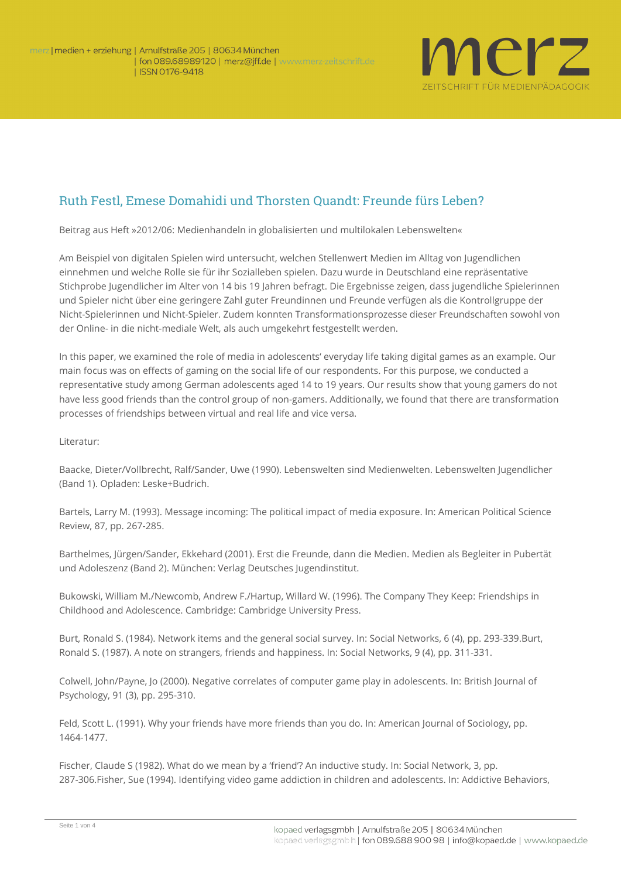

## Ruth Festl, Emese Domahidi und Thorsten Quandt: Freunde fürs Leben?

**Beitrag aus Heft »2012/06: Medienhandeln in globalisierten und multilokalen Lebenswelten«**

Am Beispiel von digitalen Spielen wird untersucht, welchen Stellenwert Medien im Alltag von Jugendlichen einnehmen und welche Rolle sie für ihr Sozialleben spielen. Dazu wurde in Deutschland eine repräsentative Stichprobe Jugendlicher im Alter von 14 bis 19 Jahren befragt. Die Ergebnisse zeigen, dass jugendliche Spielerinnen und Spieler nicht über eine geringere Zahl guter Freundinnen und Freunde verfügen als die Kontrollgruppe der Nicht-Spielerinnen und Nicht-Spieler. Zudem konnten Transformationsprozesse dieser Freundschaften sowohl von der Online- in die nicht-mediale Welt, als auch umgekehrt festgestellt werden.

In this paper, we examined the role of media in adolescents' everyday life taking digital games as an example. Our main focus was on effects of gaming on the social life of our respondents. For this purpose, we conducted a representative study among German adolescents aged 14 to 19 years. Our results show that young gamers do not have less good friends than the control group of non-gamers. Additionally, we found that there are transformation processes of friendships between virtual and real life and vice versa.

**Literatur**:

Baacke, Dieter/Vollbrecht, Ralf/Sander, Uwe (1990). Lebenswelten sind Medienwelten. Lebenswelten Jugendlicher (Band 1). Opladen: Leske+Budrich.

Bartels, Larry M. (1993). Message incoming: The political impact of media exposure. In: American Political Science Review, 87, pp. 267-285.

Barthelmes, Jürgen/Sander, Ekkehard (2001). Erst die Freunde, dann die Medien. Medien als Begleiter in Pubertät und Adoleszenz (Band 2). München: Verlag Deutsches Jugendinstitut.

Bukowski, William M./Newcomb, Andrew F./Hartup, Willard W. (1996). The Company They Keep: Friendships in Childhood and Adolescence. Cambridge: Cambridge University Press.

Burt, Ronald S. (1984). Network items and the general social survey. In: Social Networks, 6 (4), pp. 293-339.Burt, Ronald S. (1987). A note on strangers, friends and happiness. In: Social Networks, 9 (4), pp. 311-331.

Colwell, John/Payne, Jo (2000). Negative correlates of computer game play in adolescents. In: British Journal of Psychology, 91 (3), pp. 295-310.

Feld, Scott L. (1991). Why your friends have more friends than you do. In: American Journal of Sociology, pp. 1464-1477.

Fischer, Claude S (1982). What do we mean by a 'friend'? An inductive study. In: Social Network, 3, pp. 287-306.Fisher, Sue (1994). Identifying video game addiction in children and adolescents. In: Addictive Behaviors,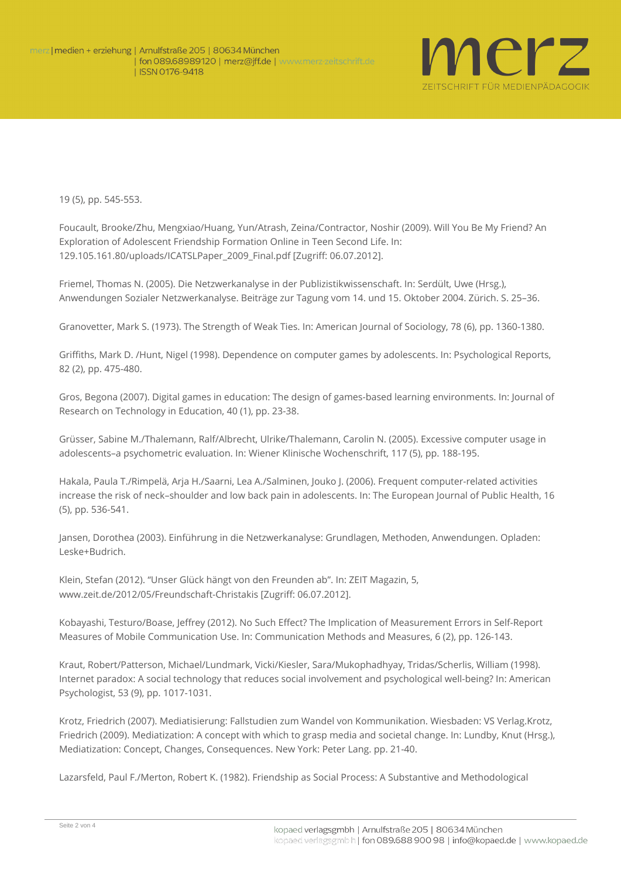

19 (5), pp. 545-553.

Foucault, Brooke/Zhu, Mengxiao/Huang, Yun/Atrash, Zeina/Contractor, Noshir (2009). Will You Be My Friend? An Exploration of Adolescent Friendship Formation Online in Teen Second Life. In: [129.105.161.80/uploads/ICATSLPaper\\_2009\\_Final.pdf](http://129.105.161.80/uploads/ICATSLPaper_2009_Final.pdf) [Zugriff: 06.07.2012].

Friemel, Thomas N. (2005). Die Netzwerkanalyse in der Publizistikwissenschaft. In: Serdült, Uwe (Hrsg.), Anwendungen Sozialer Netzwerkanalyse. Beiträge zur Tagung vom 14. und 15. Oktober 2004. Zürich. S. 25–36.

Granovetter, Mark S. (1973). The Strength of Weak Ties. In: American Journal of Sociology, 78 (6), pp. 1360-1380.

Griffiths, Mark D. /Hunt, Nigel (1998). Dependence on computer games by adolescents. In: Psychological Reports, 82 (2), pp. 475-480.

Gros, Begona (2007). Digital games in education: The design of games-based learning environments. In: Journal of Research on Technology in Education, 40 (1), pp. 23-38.

Grüsser, Sabine M./Thalemann, Ralf/Albrecht, Ulrike/Thalemann, Carolin N. (2005). Excessive computer usage in adolescents–a psychometric evaluation. In: Wiener Klinische Wochenschrift, 117 (5), pp. 188-195.

Hakala, Paula T./Rimpelä, Arja H./Saarni, Lea A./Salminen, Jouko J. (2006). Frequent computer-related activities increase the risk of neck–shoulder and low back pain in adolescents. In: The European Journal of Public Health, 16 (5), pp. 536-541.

Jansen, Dorothea (2003). Einführung in die Netzwerkanalyse: Grundlagen, Methoden, Anwendungen. Opladen: Leske+Budrich.

Klein, Stefan (2012). "Unser Glück hängt von den Freunden ab". In: ZEIT Magazin, 5, www.zeit.de/2012/05/Freundschaft-Christakis [Zugriff: 06.07.2012].

Kobayashi, Testuro/Boase, Jeffrey (2012). No Such Effect? The Implication of Measurement Errors in Self-Report Measures of Mobile Communication Use. In: Communication Methods and Measures, 6 (2), pp. 126-143.

Kraut, Robert/Patterson, Michael/Lundmark, Vicki/Kiesler, Sara/Mukophadhyay, Tridas/Scherlis, William (1998). Internet paradox: A social technology that reduces social involvement and psychological well-being? In: American Psychologist, 53 (9), pp. 1017-1031.

Krotz, Friedrich (2007). Mediatisierung: Fallstudien zum Wandel von Kommunikation. Wiesbaden: VS Verlag.Krotz, Friedrich (2009). Mediatization: A concept with which to grasp media and societal change. In: Lundby, Knut (Hrsg.), Mediatization: Concept, Changes, Consequences. New York: Peter Lang. pp. 21-40.

Lazarsfeld, Paul F./Merton, Robert K. (1982). Friendship as Social Process: A Substantive and Methodological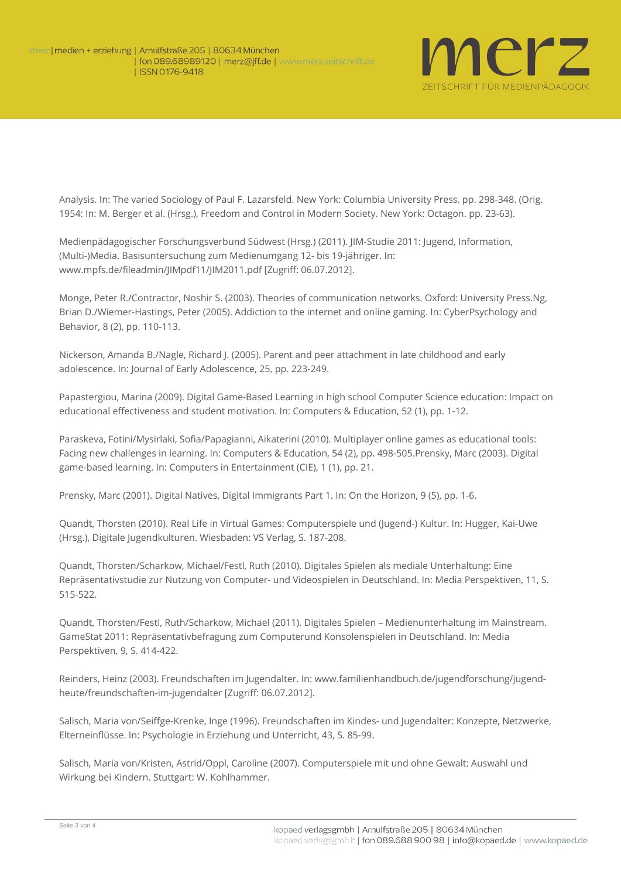

Analysis. In: The varied Sociology of Paul F. Lazarsfeld. New York: Columbia University Press. pp. 298-348. (Orig. 1954: In: M. Berger et al. (Hrsg.), Freedom and Control in Modern Society. New York: Octagon. pp. 23-63).

Medienpädagogischer Forschungsverbund Südwest (Hrsg.) (2011). JIM-Studie 2011: Jugend, Information, (Multi-)Media. Basisuntersuchung zum Medienumgang 12- bis 19-jähriger. In: [www.mpfs.de/fileadmin/JIMpdf11/JIM2011.pdf](http://www.mpfs.de/fileadmin/JIMpdf11/JIM2011.pdf) [Zugriff: 06.07.2012].

Monge, Peter R./Contractor, Noshir S. (2003). Theories of communication networks. Oxford: University Press.Ng, Brian D./Wiemer-Hastings, Peter (2005). Addiction to the internet and online gaming. In: CyberPsychology and Behavior, 8 (2), pp. 110-113.

Nickerson, Amanda B./Nagle, Richard J. (2005). Parent and peer attachment in late childhood and early adolescence. In: Journal of Early Adolescence, 25, pp. 223-249.

Papastergiou, Marina (2009). Digital Game-Based Learning in high school Computer Science education: Impact on educational effectiveness and student motivation. In: Computers & Education, 52 (1), pp. 1-12.

Paraskeva, Fotini/Mysirlaki, Sofia/Papagianni, Aikaterini (2010). Multiplayer online games as educational tools: Facing new challenges in learning. In: Computers & Education, 54 (2), pp. 498-505.Prensky, Marc (2003). Digital game-based learning. In: Computers in Entertainment (CIE), 1 (1), pp. 21.

Prensky, Marc (2001). Digital Natives, Digital Immigrants Part 1. In: On the Horizon, 9 (5), pp. 1-6.

Quandt, Thorsten (2010). Real Life in Virtual Games: Computerspiele und (Jugend-) Kultur. In: Hugger, Kai-Uwe (Hrsg.), Digitale Jugendkulturen. Wiesbaden: VS Verlag, S. 187-208.

Quandt, Thorsten/Scharkow, Michael/Festl, Ruth (2010). Digitales Spielen als mediale Unterhaltung: Eine Repräsentativstudie zur Nutzung von Computer- und Videospielen in Deutschland. In: Media Perspektiven, 11, S. 515-522.

Quandt, Thorsten/Festl, Ruth/Scharkow, Michael (2011). Digitales Spielen – Medienunterhaltung im Mainstream. GameStat 2011: Repräsentativbefragung zum Computerund Konsolenspielen in Deutschland. In: Media Perspektiven, 9, S. 414-422.

Reinders, Heinz (2003). Freundschaften im Jugendalter. In: [www.familienhandbuch.de/jugendforschung/jugend](http://www.familienhandbuch.de/jugendforschung/jugend-heute/freundschaften-im-jugendalter)[heute/freundschaften-im-jugendalter](http://www.familienhandbuch.de/jugendforschung/jugend-heute/freundschaften-im-jugendalter) [Zugriff: 06.07.2012].

Salisch, Maria von/Seiffge-Krenke, Inge (1996). Freundschaften im Kindes- und Jugendalter: Konzepte, Netzwerke, Elterneinflüsse. In: Psychologie in Erziehung und Unterricht, 43, S. 85-99.

Salisch, Maria von/Kristen, Astrid/Oppl, Caroline (2007). Computerspiele mit und ohne Gewalt: Auswahl und Wirkung bei Kindern. Stuttgart: W. Kohlhammer.